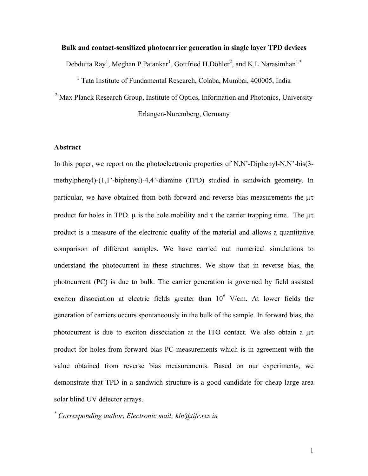# **Bulk and contact-sensitized photocarrier generation in single layer TPD devices**

Debdutta Ray<sup>1</sup>, Meghan P.Patankar<sup>1</sup>, Gottfried H.Döhler<sup>2</sup>, and K.L.Narasimhan<sup>1,\*</sup>

<sup>1</sup> Tata Institute of Fundamental Research, Colaba, Mumbai, 400005, India <sup>2</sup> Max Planck Research Group, Institute of Optics, Information and Photonics, University Erlangen-Nuremberg, Germany

## **Abstract**

In this paper, we report on the photoelectronic properties of N,N'-Diphenyl-N,N'-bis(3methylphenyl)-(1,1'-biphenyl)-4,4'-diamine (TPD) studied in sandwich geometry. In particular, we have obtained from both forward and reverse bias measurements the  $\mu\tau$ product for holes in TPD.  $\mu$  is the hole mobility and  $\tau$  the carrier trapping time. The  $\mu\tau$ product is a measure of the electronic quality of the material and allows a quantitative comparison of different samples. We have carried out numerical simulations to understand the photocurrent in these structures. We show that in reverse bias, the photocurrent (PC) is due to bulk. The carrier generation is governed by field assisted exciton dissociation at electric fields greater than  $10^6$  V/cm. At lower fields the generation of carriers occurs spontaneously in the bulk of the sample. In forward bias, the photocurrent is due to exciton dissociation at the ITO contact. We also obtain a µτ product for holes from forward bias PC measurements which is in agreement with the value obtained from reverse bias measurements. Based on our experiments, we demonstrate that TPD in a sandwich structure is a good candidate for cheap large area solar blind UV detector arrays.

*\* Corresponding author, Electronic mail: kln@tifr.res.in*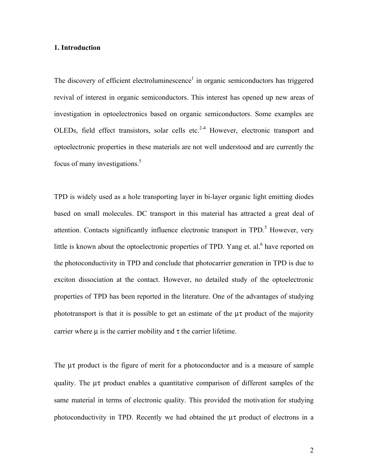#### **1. Introduction**

The discovery of efficient electroluminescence<sup>1</sup> in organic semiconductors has triggered revival of interest in organic semiconductors. This interest has opened up new areas of investigation in optoelectronics based on organic semiconductors. Some examples are OLEDs, field effect transistors, solar cells etc. $2-4$  However, electronic transport and optoelectronic properties in these materials are not well understood and are currently the focus of many investigations.<sup>5</sup>

TPD is widely used as a hole transporting layer in bi-layer organic light emitting diodes based on small molecules. DC transport in this material has attracted a great deal of attention. Contacts significantly influence electronic transport in TPD.<sup>5</sup> However, very little is known about the optoelectronic properties of TPD. Yang et. al.<sup>6</sup> have reported on the photoconductivity in TPD and conclude that photocarrier generation in TPD is due to exciton dissociation at the contact. However, no detailed study of the optoelectronic properties of TPD has been reported in the literature. One of the advantages of studying phototransport is that it is possible to get an estimate of the  $\mu\tau$  product of the majority carrier where  $\mu$  is the carrier mobility and  $\tau$  the carrier lifetime.

The  $\mu\tau$  product is the figure of merit for a photoconductor and is a measure of sample quality. The µτ product enables a quantitative comparison of different samples of the same material in terms of electronic quality. This provided the motivation for studying photoconductivity in TPD. Recently we had obtained the µτ product of electrons in a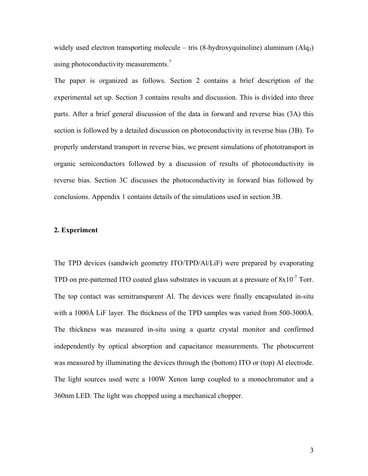widely used electron transporting molecule – tris  $(8-hydroxyquinoline)$  aluminum  $(Alq<sub>3</sub>)$ using photoconductivity measurements.<sup>7</sup>

The paper is organized as follows. Section 2 contains a brief description of the experimental set up. Section 3 contains results and discussion. This is divided into three parts. After a brief general discussion of the data in forward and reverse bias (3A) this section is followed by a detailed discussion on photoconductivity in reverse bias (3B). To properly understand transport in reverse bias, we present simulations of phototransport in organic semiconductors followed by a discussion of results of photoconductivity in reverse bias. Section 3C discusses the photoconductivity in forward bias followed by conclusions. Appendix 1 contains details of the simulations used in section 3B.

#### **2. Experiment**

The TPD devices (sandwich geometry ITO/TPD/Al/LiF) were prepared by evaporating TPD on pre-patterned ITO coated glass substrates in vacuum at a pressure of  $8x10^{-7}$  Torr. The top contact was semitransparent Al. The devices were finally encapsulated in-situ with a 1000Å LiF layer. The thickness of the TPD samples was varied from 500-3000Å. The thickness was measured in-situ using a quartz crystal monitor and confirmed independently by optical absorption and capacitance measurements. The photocurrent was measured by illuminating the devices through the (bottom) ITO or (top) Al electrode. The light sources used were a 100W Xenon lamp coupled to a monochromator and a 360nm LED. The light was chopped using a mechanical chopper.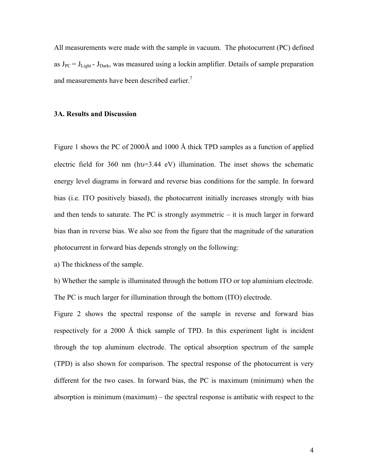All measurements were made with the sample in vacuum. The photocurrent (PC) defined as  $J_{PC} = J_{Light} - J_{Dark}$ , was measured using a lockin amplifier. Details of sample preparation and measurements have been described earlier.<sup>7</sup>

#### **3A. Results and Discussion**

Figure 1 shows the PC of 2000Å and 1000 Å thick TPD samples as a function of applied electric field for 360 nm (hυ=3.44 eV) illumination. The inset shows the schematic energy level diagrams in forward and reverse bias conditions for the sample. In forward bias (i.e. ITO positively biased), the photocurrent initially increases strongly with bias and then tends to saturate. The PC is strongly asymmetric – it is much larger in forward bias than in reverse bias. We also see from the figure that the magnitude of the saturation photocurrent in forward bias depends strongly on the following:

a) The thickness of the sample.

b) Whether the sample is illuminated through the bottom ITO or top aluminium electrode. The PC is much larger for illumination through the bottom (ITO) electrode.

Figure 2 shows the spectral response of the sample in reverse and forward bias respectively for a 2000 Å thick sample of TPD. In this experiment light is incident through the top aluminum electrode. The optical absorption spectrum of the sample (TPD) is also shown for comparison. The spectral response of the photocurrent is very different for the two cases. In forward bias, the PC is maximum (minimum) when the absorption is minimum (maximum) – the spectral response is antibatic with respect to the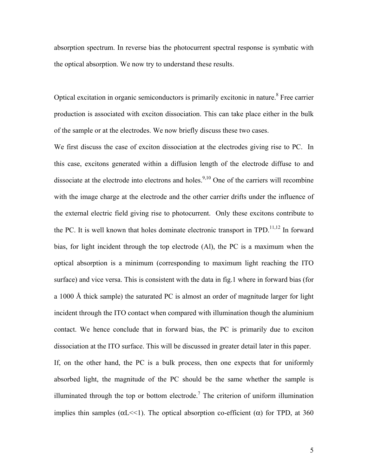absorption spectrum. In reverse bias the photocurrent spectral response is symbatic with the optical absorption. We now try to understand these results.

Optical excitation in organic semiconductors is primarily excitonic in nature.<sup>8</sup> Free carrier production is associated with exciton dissociation. This can take place either in the bulk of the sample or at the electrodes. We now briefly discuss these two cases.

We first discuss the case of exciton dissociation at the electrodes giving rise to PC. In this case, excitons generated within a diffusion length of the electrode diffuse to and dissociate at the electrode into electrons and holes.<sup>9,10</sup> One of the carriers will recombine with the image charge at the electrode and the other carrier drifts under the influence of the external electric field giving rise to photocurrent. Only these excitons contribute to the PC. It is well known that holes dominate electronic transport in  $TPD$ <sup>11,12</sup> In forward bias, for light incident through the top electrode (Al), the PC is a maximum when the optical absorption is a minimum (corresponding to maximum light reaching the ITO surface) and vice versa. This is consistent with the data in fig.1 where in forward bias (for a 1000 Å thick sample) the saturated PC is almost an order of magnitude larger for light incident through the ITO contact when compared with illumination though the aluminium contact. We hence conclude that in forward bias, the PC is primarily due to exciton dissociation at the ITO surface. This will be discussed in greater detail later in this paper. If, on the other hand, the PC is a bulk process, then one expects that for uniformly absorbed light, the magnitude of the PC should be the same whether the sample is illuminated through the top or bottom electrode.<sup>7</sup> The criterion of uniform illumination implies thin samples ( $\alpha$ L<<1). The optical absorption co-efficient ( $\alpha$ ) for TPD, at 360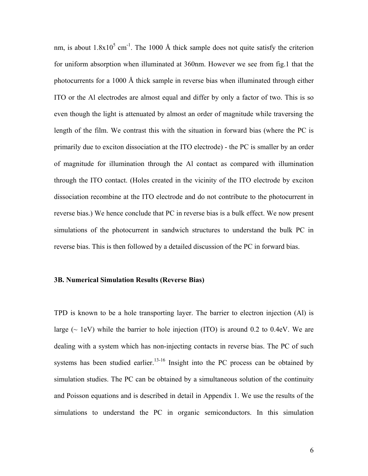nm, is about  $1.8 \times 10^5$  cm<sup>-1</sup>. The 1000 Å thick sample does not quite satisfy the criterion for uniform absorption when illuminated at 360nm. However we see from fig.1 that the photocurrents for a 1000 Å thick sample in reverse bias when illuminated through either ITO or the Al electrodes are almost equal and differ by only a factor of two. This is so even though the light is attenuated by almost an order of magnitude while traversing the length of the film. We contrast this with the situation in forward bias (where the PC is primarily due to exciton dissociation at the ITO electrode) - the PC is smaller by an order of magnitude for illumination through the Al contact as compared with illumination through the ITO contact. (Holes created in the vicinity of the ITO electrode by exciton dissociation recombine at the ITO electrode and do not contribute to the photocurrent in reverse bias.) We hence conclude that PC in reverse bias is a bulk effect. We now present simulations of the photocurrent in sandwich structures to understand the bulk PC in reverse bias. This is then followed by a detailed discussion of the PC in forward bias.

# **3B. Numerical Simulation Results (Reverse Bias)**

TPD is known to be a hole transporting layer. The barrier to electron injection (Al) is large  $(\sim 1eV)$  while the barrier to hole injection (ITO) is around 0.2 to 0.4eV. We are dealing with a system which has non-injecting contacts in reverse bias. The PC of such systems has been studied earlier.<sup>13-16</sup> Insight into the PC process can be obtained by simulation studies. The PC can be obtained by a simultaneous solution of the continuity and Poisson equations and is described in detail in Appendix 1. We use the results of the simulations to understand the PC in organic semiconductors. In this simulation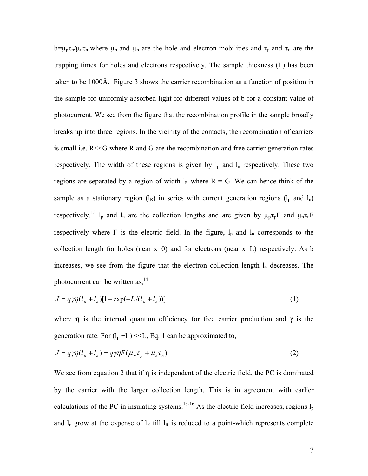$b=\mu_p\tau_p/\mu_n\tau_n$  where  $\mu_p$  and  $\mu_n$  are the hole and electron mobilities and  $\tau_p$  and  $\tau_n$  are the trapping times for holes and electrons respectively. The sample thickness (L) has been taken to be 1000Å. Figure 3 shows the carrier recombination as a function of position in the sample for uniformly absorbed light for different values of b for a constant value of photocurrent. We see from the figure that the recombination profile in the sample broadly breaks up into three regions. In the vicinity of the contacts, the recombination of carriers is small i.e. R<<G where R and G are the recombination and free carrier generation rates respectively. The width of these regions is given by  $l_p$  and  $l_n$  respectively. These two regions are separated by a region of width  $I_R$  where  $R = G$ . We can hence think of the sample as a stationary region  $(l_R)$  in series with current generation regions  $(l_p \text{ and } l_n)$ respectively.<sup>15</sup> l<sub>p</sub> and l<sub>n</sub> are the collection lengths and are given by  $\mu_p \tau_p F$  and  $\mu_n \tau_n F$ respectively where F is the electric field. In the figure,  $l_p$  and  $l_n$  corresponds to the collection length for holes (near  $x=0$ ) and for electrons (near  $x=L$ ) respectively. As b increases, we see from the figure that the electron collection length  $l_n$  decreases. The photocurrent can be written as, $^{14}$ 

$$
J = q \gamma \eta (l_p + l_n) [1 - \exp(-L/(l_p + l_n))]
$$
\n(1)

where  $\eta$  is the internal quantum efficiency for free carrier production and  $\gamma$  is the generation rate. For  $(l_p + l_n) \ll L$ , Eq. 1 can be approximated to,

$$
J = q\gamma\eta(l_p + l_n) = q\gamma\eta F(\mu_p \tau_p + \mu_n \tau_n)
$$
\n<sup>(2)</sup>

We see from equation 2 that if  $\eta$  is independent of the electric field, the PC is dominated by the carrier with the larger collection length. This is in agreement with earlier calculations of the PC in insulating systems.<sup>13-16</sup> As the electric field increases, regions  $l_p$ and  $l_n$  grow at the expense of  $l_R$  till  $l_R$  is reduced to a point-which represents complete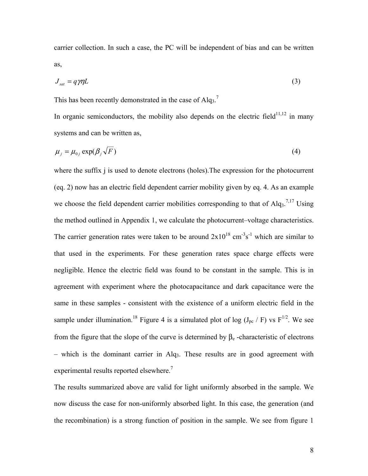carrier collection. In such a case, the PC will be independent of bias and can be written as,

$$
J_{sat} = q \gamma \eta L \tag{3}
$$

This has been recently demonstrated in the case of  $Alq_3$ .<sup>7</sup>

In organic semiconductors, the mobility also depends on the electric field $11,12$  in many systems and can be written as,

$$
\mu_j = \mu_{0j} \exp(\beta_j \sqrt{F})
$$
 (4)

where the suffix j is used to denote electrons (holes). The expression for the photocurrent (eq. 2) now has an electric field dependent carrier mobility given by eq. 4. As an example we choose the field dependent carrier mobilities corresponding to that of  $\text{Alg}_3$ <sup>7,17</sup> Using the method outlined in Appendix 1, we calculate the photocurrent–voltage characteristics. The carrier generation rates were taken to be around  $2x10^{18}$  cm<sup>-3</sup>s<sup>-1</sup> which are similar to that used in the experiments. For these generation rates space charge effects were negligible. Hence the electric field was found to be constant in the sample. This is in agreement with experiment where the photocapacitance and dark capacitance were the same in these samples - consistent with the existence of a uniform electric field in the sample under illumination.<sup>18</sup> Figure 4 is a simulated plot of log  $(J_{pc} / F)$  vs  $F^{1/2}$ . We see from the figure that the slope of the curve is determined by  $\beta_e$  -characteristic of electrons  $-$  which is the dominant carrier in Alq<sub>3</sub>. These results are in good agreement with experimental results reported elsewhere.<sup>7</sup>

The results summarized above are valid for light uniformly absorbed in the sample. We now discuss the case for non-uniformly absorbed light. In this case, the generation (and the recombination) is a strong function of position in the sample. We see from figure 1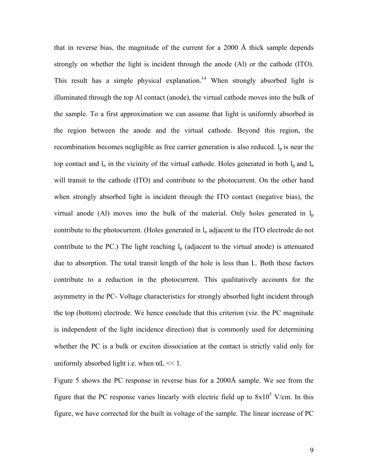that in reverse bias, the magnitude of the current for a 2000 Å thick sample depends strongly on whether the light is incident through the anode (Al) or the cathode (ITO). This result has a simple physical explanation.<sup>14</sup> When strongly absorbed light is illuminated through the top Al contact (anode), the virtual cathode moves into the bulk of the sample. To a first approximation we can assume that light is uniformly absorbed in the region between the anode and the virtual cathode. Beyond this region, the recombination becomes negligible as free carrier generation is also reduced.  $l_p$  is near the top contact and  $l_n$  in the vicinity of the virtual cathode. Holes generated in both  $l_p$  and  $l_n$ will transit to the cathode (ITO) and contribute to the photocurrent. On the other hand when strongly absorbed light is incident through the ITO contact (negative bias), the virtual anode (Al) moves into the bulk of the material. Only holes generated in  $l_p$ contribute to the photocurrent. (Holes generated in  $l_n$  adjacent to the ITO electrode do not contribute to the PC.) The light reaching  $l_p$  (adjacent to the virtual anode) is attenuated due to absorption. The total transit length of the hole is less than L. Both these factors contribute to a reduction in the photocurrent. This qualitatively accounts for the asymmetry in the PC- Voltage characteristics for strongly absorbed light incident through the top (bottom) electrode. We hence conclude that this criterion (viz. the PC magnitude is independent of the light incidence direction) that is commonly used for determining whether the PC is a bulk or exciton dissociation at the contact is strictly valid only for uniformly absorbed light i.e. when  $\alpha L \ll 1$ .

Figure 5 shows the PC response in reverse bias for a 2000Å sample. We see from the figure that the PC response varies linearly with electric field up to  $8x10^5$  V/cm. In this figure, we have corrected for the built in voltage of the sample. The linear increase of PC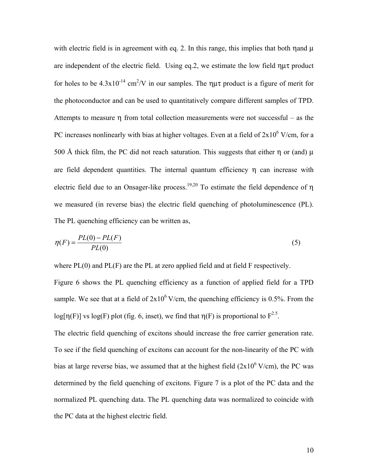with electric field is in agreement with eq. 2. In this range, this implies that both  $\eta$  and  $\mu$ are independent of the electric field. Using eq.2, we estimate the low field  $\eta\mu\tau$  product for holes to be  $4.3 \times 10^{-14}$  cm<sup>2</sup>/V in our samples. The  $\eta \mu \tau$  product is a figure of merit for the photoconductor and can be used to quantitatively compare different samples of TPD. Attempts to measure η from total collection measurements were not successful – as the PC increases nonlinearly with bias at higher voltages. Even at a field of  $2x10^6$  V/cm, for a 500 Å thick film, the PC did not reach saturation. This suggests that either  $\eta$  or (and)  $\mu$ are field dependent quantities. The internal quantum efficiency  $\eta$  can increase with electric field due to an Onsager-like process.<sup>19,20</sup> To estimate the field dependence of  $\eta$ we measured (in reverse bias) the electric field quenching of photoluminescence (PL). The PL quenching efficiency can be written as,

$$
\eta(F) = \frac{PL(0) - PL(F)}{PL(0)}\tag{5}
$$

where PL(0) and PL(F) are the PL at zero applied field and at field F respectively.

Figure 6 shows the PL quenching efficiency as a function of applied field for a TPD sample. We see that at a field of  $2x10^6$  V/cm, the quenching efficiency is 0.5%. From the log[ $\eta(F)$ ] vs log(F) plot (fig. 6, inset), we find that  $\eta(F)$  is proportional to  $F^{2.5}$ .

The electric field quenching of excitons should increase the free carrier generation rate. To see if the field quenching of excitons can account for the non-linearity of the PC with bias at large reverse bias, we assumed that at the highest field  $(2x10^6 \text{ V/cm})$ , the PC was determined by the field quenching of excitons. Figure 7 is a plot of the PC data and the normalized PL quenching data. The PL quenching data was normalized to coincide with the PC data at the highest electric field.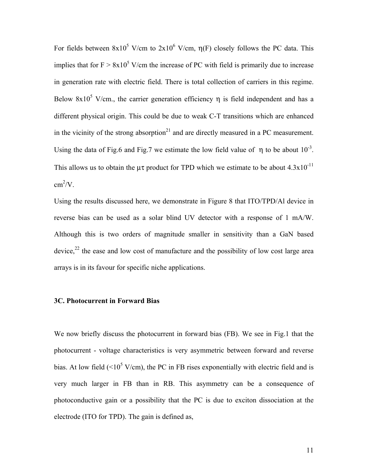For fields between  $8x10^5$  V/cm to  $2x10^6$  V/cm,  $\eta$ (F) closely follows the PC data. This implies that for  $F > 8x10^5$  V/cm the increase of PC with field is primarily due to increase in generation rate with electric field. There is total collection of carriers in this regime. Below  $8x10^5$  V/cm., the carrier generation efficiency  $\eta$  is field independent and has a different physical origin. This could be due to weak C-T transitions which are enhanced in the vicinity of the strong absorption<sup>21</sup> and are directly measured in a PC measurement. Using the data of Fig.6 and Fig.7 we estimate the low field value of  $\eta$  to be about  $10^{-3}$ . This allows us to obtain the  $\mu\tau$  product for TPD which we estimate to be about 4.3x10<sup>-11</sup>  $\text{cm}^2/\text{V}$ .

Using the results discussed here, we demonstrate in Figure 8 that ITO/TPD/Al device in reverse bias can be used as a solar blind UV detector with a response of 1 mA/W. Although this is two orders of magnitude smaller in sensitivity than a GaN based device, $^{22}$  the ease and low cost of manufacture and the possibility of low cost large area arrays is in its favour for specific niche applications.

#### **3C. Photocurrent in Forward Bias**

We now briefly discuss the photocurrent in forward bias (FB). We see in Fig.1 that the photocurrent - voltage characteristics is very asymmetric between forward and reverse bias. At low field ( $\leq 10^5$  V/cm), the PC in FB rises exponentially with electric field and is very much larger in FB than in RB. This asymmetry can be a consequence of photoconductive gain or a possibility that the PC is due to exciton dissociation at the electrode (ITO for TPD). The gain is defined as,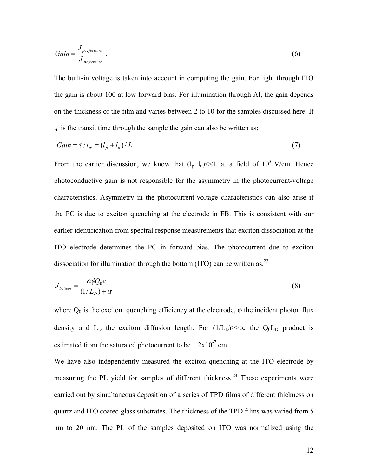$$
Gain = \frac{J_{pc,forward}}{J_{pc,reverse}}.
$$
\n
$$
(6)
$$

The built-in voltage is taken into account in computing the gain. For light through ITO the gain is about 100 at low forward bias. For illumination through Al, the gain depends on the thickness of the film and varies between 2 to 10 for the samples discussed here. If  $t_{tr}$  is the transit time through the sample the gain can also be written as;

$$
Gain = \tau / t_{tr} = (l_p + l_n) / L \tag{7}
$$

From the earlier discussion, we know that  $(l_n + l_n) \ll L$  at a field of  $10^5$  V/cm. Hence photoconductive gain is not responsible for the asymmetry in the photocurrent-voltage characteristics. Asymmetry in the photocurrent-voltage characteristics can also arise if the PC is due to exciton quenching at the electrode in FB. This is consistent with our earlier identification from spectral response measurements that exciton dissociation at the ITO electrode determines the PC in forward bias. The photocurrent due to exciton dissociation for illumination through the bottom (ITO) can be written as,  $^{23}$ 

$$
J_{bottom} = \frac{\alpha \phi Q_0 e}{(1/L_D) + \alpha} \tag{8}
$$

where  $Q_0$  is the exciton quenching efficiency at the electrode,  $\varphi$  the incident photon flux density and L<sub>D</sub> the exciton diffusion length. For  $(1/L_D)$ >> $\alpha$ , the Q<sub>0</sub>L<sub>D</sub> product is estimated from the saturated photocurrent to be  $1.2 \times 10^{-7}$  cm.

We have also independently measured the exciton quenching at the ITO electrode by measuring the PL yield for samples of different thickness.<sup>24</sup> These experiments were carried out by simultaneous deposition of a series of TPD films of different thickness on quartz and ITO coated glass substrates. The thickness of the TPD films was varied from 5 nm to 20 nm. The PL of the samples deposited on ITO was normalized using the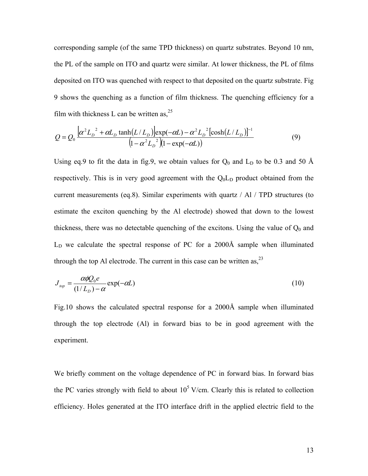corresponding sample (of the same TPD thickness) on quartz substrates. Beyond 10 nm, the PL of the sample on ITO and quartz were similar. At lower thickness, the PL of films deposited on ITO was quenched with respect to that deposited on the quartz substrate. Fig 9 shows the quenching as a function of film thickness. The quenching efficiency for a film with thickness L can be written as,  $2^5$ 

$$
Q = Q_0 \frac{\left[\alpha^2 L_D^2 + \alpha L_D \tanh(L/L_D)\right] \exp(-\alpha L) - \alpha^2 L_D^2 \left[\cosh(L/L_D)\right]^{-1}}{\left(1 - \alpha^2 L_D^2\right) \left(1 - \exp(-\alpha L)\right)} \tag{9}
$$

Using eq.9 to fit the data in fig.9, we obtain values for  $Q_0$  and  $L_D$  to be 0.3 and 50 Å respectively. This is in very good agreement with the  $Q_0L_D$  product obtained from the current measurements (eq.8). Similar experiments with quartz / Al / TPD structures (to estimate the exciton quenching by the Al electrode) showed that down to the lowest thickness, there was no detectable quenching of the excitons. Using the value of  $Q_0$  and  $L<sub>D</sub>$  we calculate the spectral response of PC for a 2000Å sample when illuminated through the top Al electrode. The current in this case can be written as,  $^{23}$ 

$$
J_{top} = \frac{\alpha \phi Q_0 e}{(1/L_D) - \alpha} \exp(-\alpha L) \tag{10}
$$

Fig.10 shows the calculated spectral response for a 2000Å sample when illuminated through the top electrode (Al) in forward bias to be in good agreement with the experiment.

We briefly comment on the voltage dependence of PC in forward bias. In forward bias the PC varies strongly with field to about  $10<sup>5</sup>$  V/cm. Clearly this is related to collection efficiency. Holes generated at the ITO interface drift in the applied electric field to the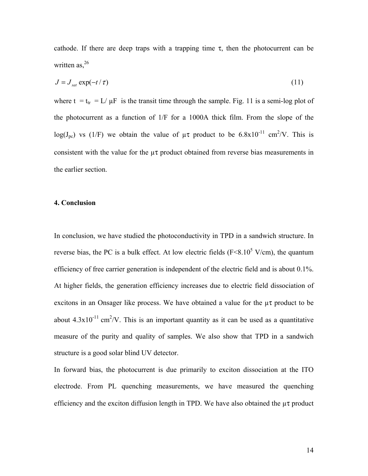cathode. If there are deep traps with a trapping time  $\tau$ , then the photocurrent can be written as, $26$ 

$$
J = J_{sat} \exp(-t/\tau) \tag{11}
$$

where  $t = t_{tr} = L/\mu F$  is the transit time through the sample. Fig. 11 is a semi-log plot of the photocurrent as a function of 1/F for a 1000A thick film. From the slope of the log(J<sub>pc</sub>) vs (1/F) we obtain the value of  $\mu\tau$  product to be 6.8x10<sup>-11</sup> cm<sup>2</sup>/V. This is consistent with the value for the  $\mu\tau$  product obtained from reverse bias measurements in the earlier section.

# **4. Conclusion**

In conclusion, we have studied the photoconductivity in TPD in a sandwich structure. In reverse bias, the PC is a bulk effect. At low electric fields ( $F \le 8.10^5$  V/cm), the quantum efficiency of free carrier generation is independent of the electric field and is about 0.1%. At higher fields, the generation efficiency increases due to electric field dissociation of excitons in an Onsager like process. We have obtained a value for the  $\mu\tau$  product to be about  $4.3 \times 10^{-11}$  cm<sup>2</sup>/V. This is an important quantity as it can be used as a quantitative measure of the purity and quality of samples. We also show that TPD in a sandwich structure is a good solar blind UV detector.

In forward bias, the photocurrent is due primarily to exciton dissociation at the ITO electrode. From PL quenching measurements, we have measured the quenching efficiency and the exciton diffusion length in TPD. We have also obtained the  $\mu\tau$  product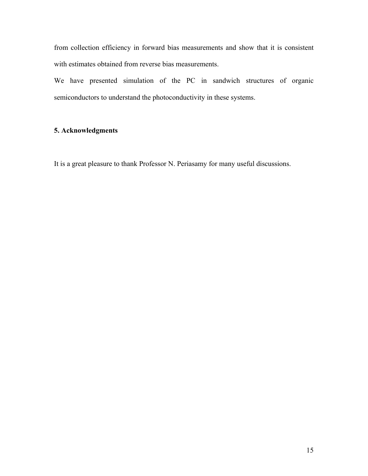from collection efficiency in forward bias measurements and show that it is consistent with estimates obtained from reverse bias measurements.

We have presented simulation of the PC in sandwich structures of organic semiconductors to understand the photoconductivity in these systems.

# **5. Acknowledgments**

It is a great pleasure to thank Professor N. Periasamy for many useful discussions.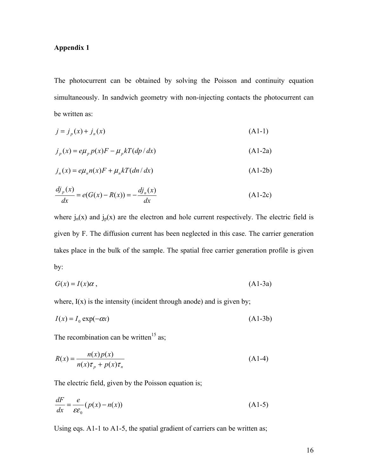# **Appendix 1**

The photocurrent can be obtained by solving the Poisson and continuity equation simultaneously. In sandwich geometry with non-injecting contacts the photocurrent can be written as:

$$
j = jp(x) + jn(x)
$$
 (A1-1)

$$
j_p(x) = e\mu_p p(x)F - \mu_p kT(dp/dx)
$$
 (A1-2a)

$$
j_n(x) = e\mu_n n(x)F + \mu_n kT(dn/dx)
$$
 (A1-2b)

$$
\frac{dj_p(x)}{dx} = e(G(x) - R(x)) = -\frac{dj_n(x)}{dx}
$$
\n(A1-2c)

where  $j_n(x)$  and  $j_p(x)$  are the electron and hole current respectively. The electric field is given by F. The diffusion current has been neglected in this case. The carrier generation takes place in the bulk of the sample. The spatial free carrier generation profile is given by:

$$
G(x) = I(x)\alpha , \qquad (A1-3a)
$$

where,  $I(x)$  is the intensity (incident through anode) and is given by;

$$
I(x) = I_0 \exp(-\alpha x) \tag{A1-3b}
$$

The recombination can be written<sup>15</sup> as;

$$
R(x) = \frac{n(x)p(x)}{n(x)\tau_p + p(x)\tau_n}
$$
 (A1-4)

The electric field, given by the Poisson equation is;

$$
\frac{dF}{dx} = \frac{e}{\varepsilon \varepsilon_0} (p(x) - n(x))
$$
\n(A1-5)

Using eqs. A1-1 to A1-5, the spatial gradient of carriers can be written as;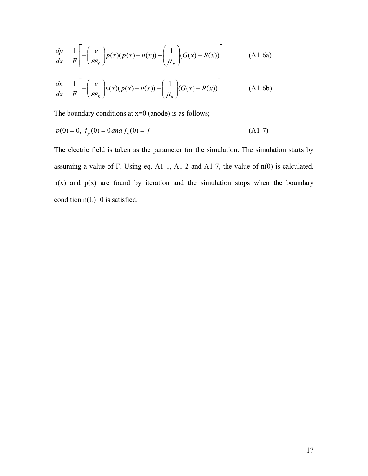$$
\frac{dp}{dx} = \frac{1}{F} \left[ -\left(\frac{e}{\varepsilon \varepsilon_0} \right) p(x) (p(x) - n(x)) + \left(\frac{1}{\mu_p} \right) (G(x) - R(x)) \right]
$$
(A1-6a)

$$
\frac{dn}{dx} = \frac{1}{F} \left[ -\left(\frac{e}{\varepsilon \varepsilon_0}\right) n(x) (p(x) - n(x)) - \left(\frac{1}{\mu_n}\right) (G(x) - R(x)) \right]
$$
(A1-6b)

The boundary conditions at  $x=0$  (anode) is as follows;

$$
p(0) = 0, j_p(0) = 0 \text{ and } j_n(0) = j \tag{A1-7}
$$

The electric field is taken as the parameter for the simulation. The simulation starts by assuming a value of F. Using eq. A1-1, A1-2 and A1-7, the value of n(0) is calculated.  $n(x)$  and  $p(x)$  are found by iteration and the simulation stops when the boundary condition  $n(L)=0$  is satisfied.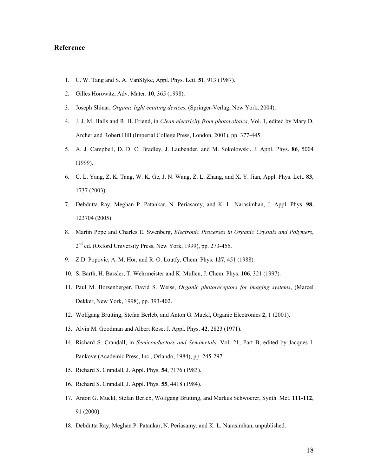#### **Reference**

- 1. C. W. Tang and S. A. VanSlyke, Appl. Phys. Lett. **51**, 913 (1987).
- 2. Gilles Horowitz, Adv. Mater. **10**, 365 (1998).
- 3. Joseph Shinar, *Organic light emitting devices*, (Springer-Verlag, New York, 2004).
- 4. J. J. M. Halls and R. H. Friend, in *Clean electricity from photovoltaics*, Vol. 1, edited by Mary D. Archer and Robert Hill (Imperial College Press, London, 2001), pp. 377-445.
- 5. A. J. Campbell, D. D. C. Bradley, J. Laubender, and M. Sokolowski, J. Appl. Phys. **86**, 5004 (1999).
- 6. C. L. Yang, Z. K. Tang, W. K. Ge, J. N. Wang, Z. L. Zhang, and X. Y. Jian, Appl. Phys. Lett. **83**, 1737 (2003).
- 7. Debdutta Ray, Meghan P. Patankar, N. Periasamy, and K. L. Narasimhan, J. Appl. Phys. **98**, 123704 (2005).
- 8. Martin Pope and Charles E. Swenberg, *Electronic Processes in Organic Crystals and Polymers*, 2<sup>nd</sup> ed. (Oxford University Press, New York, 1999), pp. 273-455.
- 9. Z.D. Popovic, A. M. Hor, and R. O. Loutfy, Chem. Phys. **127**, 451 (1988).
- 10. S. Barth, H. Bassler, T. Wehrmeister and K. Mullen, J. Chem. Phys. **106**, 321 (1997).
- 11. Paul M. Borsenberger, David S. Weiss, *Organic photoreceptors for imaging systems*, (Marcel Dekker, New York, 1998), pp. 393-402.
- 12. Wolfgang Brutting, Stefan Berleb, and Anton G. Muckl, Organic Electronics **2**, 1 (2001).
- 13. Alvin M. Goodman and Albert Rose, J. Appl. Phys. **42**, 2823 (1971).
- 14. Richard S. Crandall, in *Semiconductors and Semimetals*, Vol. 21, Part B, edited by Jacques I. Pankove (Academic Press, Inc., Orlando, 1984), pp. 245-297.
- 15. Richard S. Crandall, J. Appl. Phys. **54**, 7176 (1983).
- 16. Richard S. Crandall, J. Appl. Phys. **55**, 4418 (1984).
- 17. Anton G. Muckl, Stefan Berleb, Wolfgang Brutting, and Markus Schwoerer, Synth. Met. **111-112**, 91 (2000).
- 18. Debdutta Ray, Meghan P. Patankar, N. Periasamy, and K. L. Narasimhan, unpublished.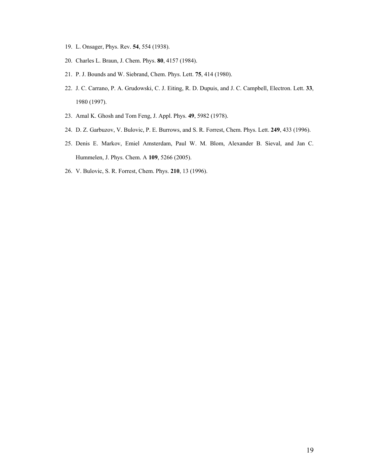- 19. L. Onsager, Phys. Rev. **54**, 554 (1938).
- 20. Charles L. Braun, J. Chem. Phys. **80**, 4157 (1984).
- 21. P. J. Bounds and W. Siebrand, Chem. Phys. Lett. **75**, 414 (1980).
- 22. J. C. Carrano, P. A. Grudowski, C. J. Eiting, R. D. Dupuis, and J. C. Campbell, Electron. Lett. **33**, 1980 (1997).
- 23. Amal K. Ghosh and Tom Feng, J. Appl. Phys. **49**, 5982 (1978).
- 24. D. Z. Garbuzov, V. Bulovic, P. E. Burrows, and S. R. Forrest, Chem. Phys. Lett. **249**, 433 (1996).
- 25. Denis E. Markov, Emiel Amsterdam, Paul W. M. Blom, Alexander B. Sieval, and Jan C. Hummelen, J. Phys. Chem. A **109**, 5266 (2005).
- 26. V. Bulovic, S. R. Forrest, Chem. Phys. **210**, 13 (1996).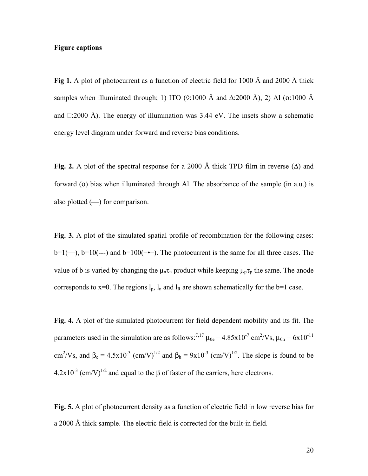# **Figure captions**

**Fig 1.** A plot of photocurrent as a function of electric field for 1000 Å and 2000 Å thick samples when illuminated through; 1) ITO ( $\Diamond$ :1000 Å and  $\triangle$ :2000 Å), 2) Al ( $\Diamond$ :1000 Å and  $\Box$ :2000 Å). The energy of illumination was 3.44 eV. The insets show a schematic energy level diagram under forward and reverse bias conditions.

Fig. 2. A plot of the spectral response for a 2000 Å thick TPD film in reverse ( $\Delta$ ) and forward (o) bias when illuminated through Al. The absorbance of the sample (in a.u.) is also plotted  $(-)$  for comparison.

**Fig. 3.** A plot of the simulated spatial profile of recombination for the following cases: b=1(—), b=10(---) and b=100(-•–). The photocurrent is the same for all three cases. The value of b is varied by changing the  $\mu_n \tau_n$  product while keeping  $\mu_p \tau_p$  the same. The anode corresponds to x=0. The regions  $l_p$ ,  $l_n$  and  $l_R$  are shown schematically for the b=1 case.

**Fig. 4.** A plot of the simulated photocurrent for field dependent mobility and its fit. The parameters used in the simulation are as follows:<sup>7,17</sup>  $\mu_{0e} = 4.85 \times 10^{-7}$  cm<sup>2</sup>/Vs,  $\mu_{0h} = 6 \times 10^{-11}$ cm<sup>2</sup>/Vs, and  $\beta_e = 4.5 \times 10^{-3}$  (cm/V)<sup>1/2</sup> and  $\beta_h = 9 \times 10^{-3}$  (cm/V)<sup>1/2</sup>. The slope is found to be  $4.2x10^{-3}$  (cm/V)<sup>1/2</sup> and equal to the  $\beta$  of faster of the carriers, here electrons.

**Fig. 5.** A plot of photocurrent density as a function of electric field in low reverse bias for a 2000 Å thick sample. The electric field is corrected for the built-in field.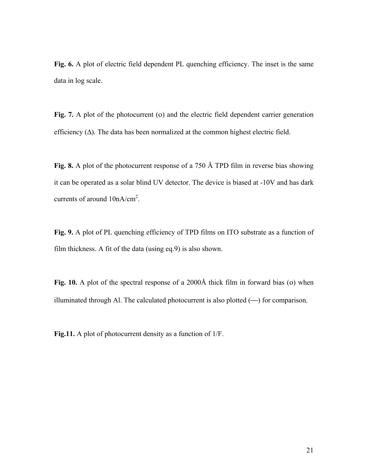**Fig. 6.** A plot of electric field dependent PL quenching efficiency. The inset is the same data in log scale.

Fig. 7. A plot of the photocurrent (o) and the electric field dependent carrier generation efficiency (∆). The data has been normalized at the common highest electric field.

**Fig. 8.** A plot of the photocurrent response of a 750 Å TPD film in reverse bias showing it can be operated as a solar blind UV detector. The device is biased at -10V and has dark currents of around  $10nA/cm<sup>2</sup>$ .

**Fig. 9.** A plot of PL quenching efficiency of TPD films on ITO substrate as a function of film thickness. A fit of the data (using eq.9) is also shown.

**Fig. 10.** A plot of the spectral response of a 2000Å thick film in forward bias (ο) when illuminated through Al. The calculated photocurrent is also plotted  $(-)$  for comparison.

**Fig.11.** A plot of photocurrent density as a function of 1/F.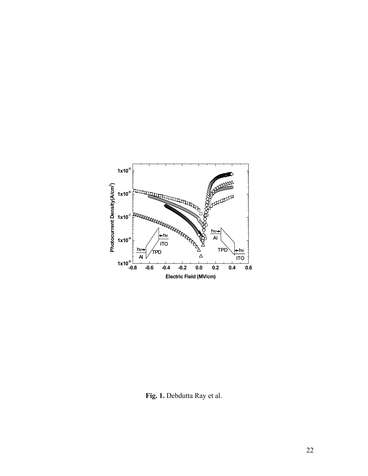

**Fig. 1.** Debdutta Ray et al.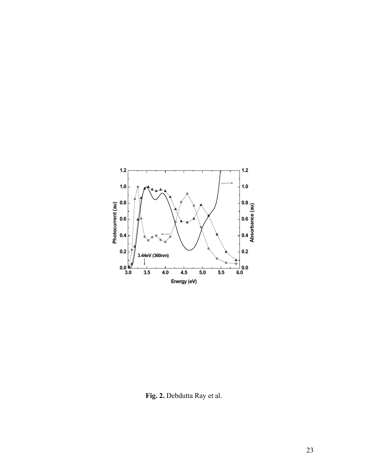

**Fig. 2.** Debdutta Ray et al.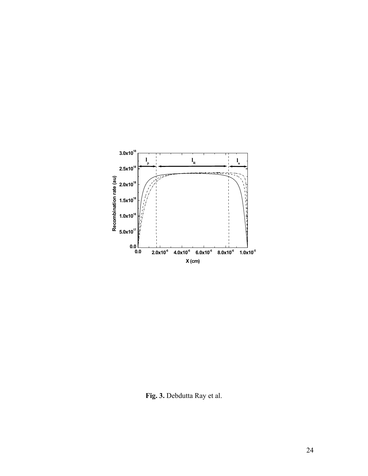

**Fig. 3.** Debdutta Ray et al.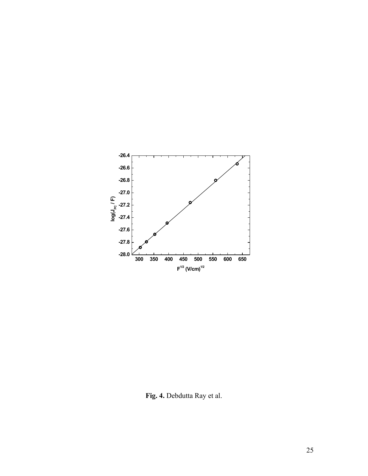

**Fig. 4.** Debdutta Ray et al.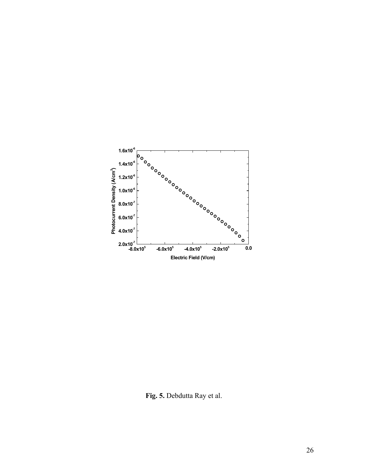

**Fig. 5.** Debdutta Ray et al.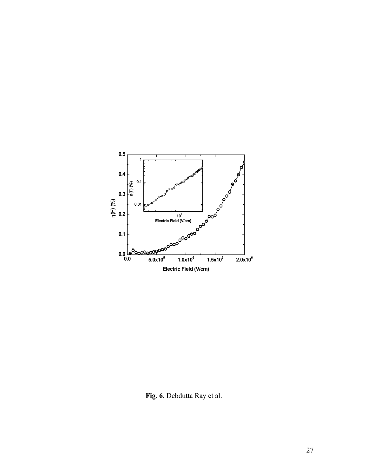

**Fig. 6.** Debdutta Ray et al.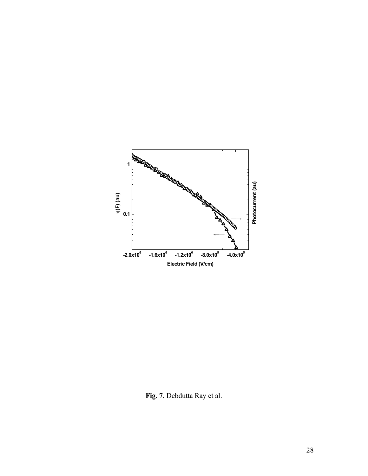

**Fig. 7.** Debdutta Ray et al.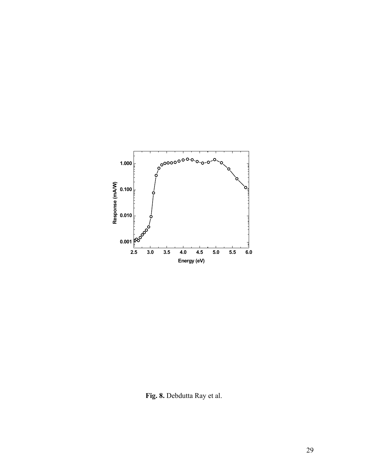

**Fig. 8.** Debdutta Ray et al.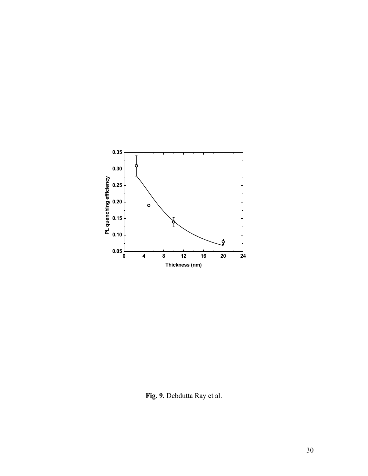

**Fig. 9.** Debdutta Ray et al.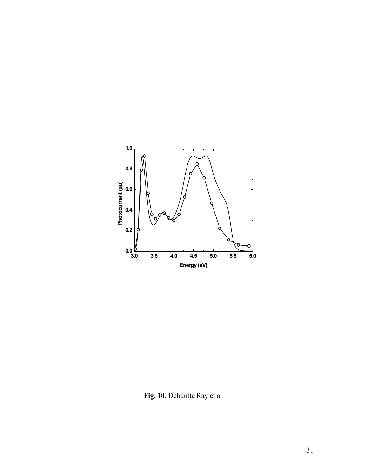

**Fig. 10.** Debdutta Ray et al.